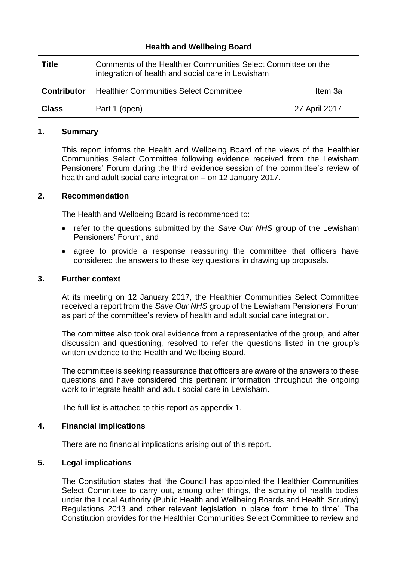| <b>Health and Wellbeing Board</b> |                                                                                                                    |               |         |
|-----------------------------------|--------------------------------------------------------------------------------------------------------------------|---------------|---------|
| <b>Title</b>                      | Comments of the Healthier Communities Select Committee on the<br>integration of health and social care in Lewisham |               |         |
| <b>Contributor</b>                | <b>Healthier Communities Select Committee</b>                                                                      |               | Item 3a |
| <b>Class</b>                      | Part 1 (open)                                                                                                      | 27 April 2017 |         |

# **1. Summary**

This report informs the Health and Wellbeing Board of the views of the Healthier Communities Select Committee following evidence received from the Lewisham Pensioners' Forum during the third evidence session of the committee's review of health and adult social care integration – on 12 January 2017.

# **2. Recommendation**

The Health and Wellbeing Board is recommended to:

- refer to the questions submitted by the *Save Our NHS* group of the Lewisham Pensioners' Forum, and
- agree to provide a response reassuring the committee that officers have considered the answers to these key questions in drawing up proposals.

# **3. Further context**

At its meeting on 12 January 2017, the Healthier Communities Select Committee received a report from the *Save Our NHS* group of the Lewisham Pensioners' Forum as part of the committee's review of health and adult social care integration.

The committee also took oral evidence from a representative of the group, and after discussion and questioning, resolved to refer the questions listed in the group's written evidence to the Health and Wellbeing Board.

The committee is seeking reassurance that officers are aware of the answers to these questions and have considered this pertinent information throughout the ongoing work to integrate health and adult social care in Lewisham.

The full list is attached to this report as appendix 1.

# **4. Financial implications**

There are no financial implications arising out of this report.

# **5. Legal implications**

The Constitution states that 'the Council has appointed the Healthier Communities Select Committee to carry out, among other things, the scrutiny of health bodies under the Local Authority (Public Health and Wellbeing Boards and Health Scrutiny) Regulations 2013 and other relevant legislation in place from time to time'. The Constitution provides for the Healthier Communities Select Committee to review and